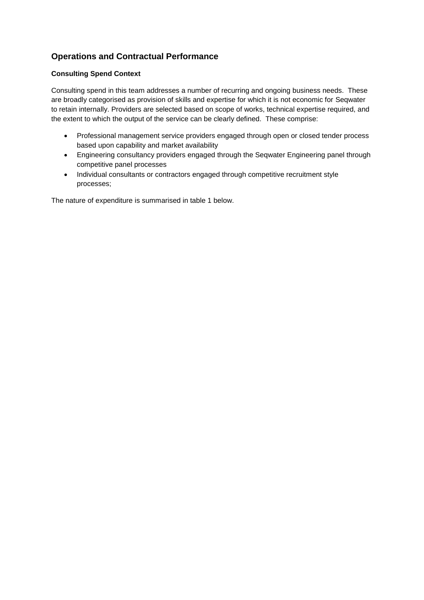# **Operations and Contractual Performance**

## **Consulting Spend Context**

Consulting spend in this team addresses a number of recurring and ongoing business needs. These are broadly categorised as provision of skills and expertise for which it is not economic for Seqwater to retain internally. Providers are selected based on scope of works, technical expertise required, and the extent to which the output of the service can be clearly defined. These comprise:

- Professional management service providers engaged through open or closed tender process based upon capability and market availability
- Engineering consultancy providers engaged through the Seqwater Engineering panel through competitive panel processes
- Individual consultants or contractors engaged through competitive recruitment style processes;

The nature of expenditure is summarised in table 1 below.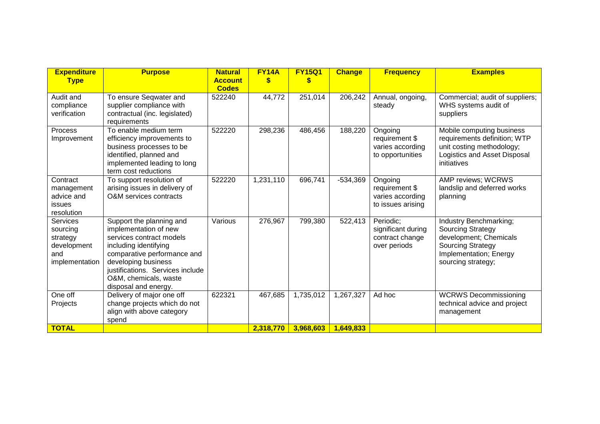| <b>Expenditure</b><br><b>Type</b>                                               | <b>Purpose</b>                                                                                                                                                                                                                                    | <b>Natural</b><br><b>Account</b> | <b>FY14A</b><br>\$ | <b>FY15Q1</b><br>\$ | <b>Change</b> | <b>Frequency</b>                                                   | <b>Examples</b>                                                                                                                                          |
|---------------------------------------------------------------------------------|---------------------------------------------------------------------------------------------------------------------------------------------------------------------------------------------------------------------------------------------------|----------------------------------|--------------------|---------------------|---------------|--------------------------------------------------------------------|----------------------------------------------------------------------------------------------------------------------------------------------------------|
|                                                                                 |                                                                                                                                                                                                                                                   | <b>Codes</b>                     |                    |                     |               |                                                                    |                                                                                                                                                          |
| Audit and<br>compliance<br>verification                                         | To ensure Seqwater and<br>supplier compliance with<br>contractual (inc. legislated)<br>requirements                                                                                                                                               | 522240                           | 44,772             | 251,014             | 206,242       | Annual, ongoing,<br>steady                                         | Commercial; audit of suppliers;<br>WHS systems audit of<br>suppliers                                                                                     |
| Process<br>Improvement                                                          | To enable medium term<br>efficiency improvements to<br>business processes to be<br>identified, planned and<br>implemented leading to long<br>term cost reductions                                                                                 | 522220                           | 298,236            | 486,456             | 188,220       | Ongoing<br>requirement \$<br>varies according<br>to opportunities  | Mobile computing business<br>requirements definition; WTP<br>unit costing methodology;<br>Logistics and Asset Disposal<br>initiatives                    |
| Contract<br>management<br>advice and<br>issues<br>resolution                    | To support resolution of<br>arising issues in delivery of<br>O&M services contracts                                                                                                                                                               | 522220                           | 1,231,110          | 696,741             | $-534,369$    | Ongoing<br>requirement \$<br>varies according<br>to issues arising | AMP reviews; WCRWS<br>landslip and deferred works<br>planning                                                                                            |
| <b>Services</b><br>sourcing<br>strategy<br>development<br>and<br>implementation | Support the planning and<br>implementation of new<br>services contract models<br>including identifying<br>comparative performance and<br>developing business<br>justifications. Services include<br>O&M, chemicals, waste<br>disposal and energy. | Various                          | 276,967            | 799,380             | 522,413       | Periodic:<br>significant during<br>contract change<br>over periods | Industry Benchmarking;<br><b>Sourcing Strategy</b><br>development; Chemicals<br><b>Sourcing Strategy</b><br>Implementation; Energy<br>sourcing strategy; |
| One off<br>Projects                                                             | Delivery of major one off<br>change projects which do not<br>align with above category<br>spend                                                                                                                                                   | 622321                           | 467,685            | 1,735,012           | 1,267,327     | Ad hoc                                                             | <b>WCRWS Decommissioning</b><br>technical advice and project<br>management                                                                               |
| <b>TOTAL</b>                                                                    |                                                                                                                                                                                                                                                   |                                  | 2,318,770          | 3,968,603           | 1,649,833     |                                                                    |                                                                                                                                                          |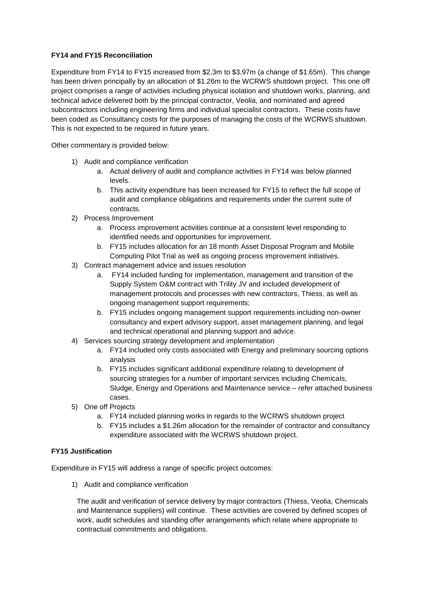## **FY14 and FY15 Reconciliation**

Expenditure from FY14 to FY15 increased from \$2.3m to \$3.97m (a change of \$1.65m). This change has been driven principally by an allocation of \$1.26m to the WCRWS shutdown project. This one off project comprises a range of activities including physical isolation and shutdown works, planning, and technical advice delivered both by the principal contractor, Veolia, and nominated and agreed subcontractors including engineering firms and individual specialist contractors. These costs have been coded as Consultancy costs for the purposes of managing the costs of the WCRWS shutdown. This is not expected to be required in future years.

Other commentary is provided below:

- 1) Audit and compliance verification
	- a. Actual delivery of audit and compliance activities in FY14 was below planned levels.
	- b. This activity expenditure has been increased for FY15 to reflect the full scope of audit and compliance obligations and requirements under the current suite of contracts.
- 2) Process Improvement
	- a. Process improvement activities continue at a consistent level responding to identified needs and opportunities for improvement.
	- b. FY15 includes allocation for an 18 month Asset Disposal Program and Mobile Computing Pilot Trial as well as ongoing process improvement initiatives.
- 3) Contract management advice and issues resolution
	- a. FY14 included funding for implementation, management and transition of the Supply System O&M contract with Trility JV and included development of management protocols and processes with new contractors, Thiess, as well as ongoing management support requirements;
	- b. FY15 includes ongoing management support requirements including non-owner consultancy and expert advisory support, asset management planning, and legal and technical operational and planning support and advice.
- 4) Services sourcing strategy development and implementation
	- a. FY14 included only costs associated with Energy and preliminary sourcing options analysis
	- b. FY15 includes significant additional expenditure relating to development of sourcing strategies for a number of important services including Chemicals, Sludge, Energy and Operations and Maintenance service – refer attached business cases.
- 5) One off Projects
	- a. FY14 included planning works in regards to the WCRWS shutdown project
	- b. FY15 includes a \$1.26m allocation for the remainder of contractor and consultancy expenditure associated with the WCRWS shutdown project.

#### **FY15 Justification**

Expenditure in FY15 will address a range of specific project outcomes:

1) Audit and compliance verification

The audit and verification of service delivery by major contractors (Thiess, Veolia, Chemicals and Maintenance suppliers) will continue. These activities are covered by defined scopes of work, audit schedules and standing offer arrangements which relate where appropriate to contractual commitments and obligations.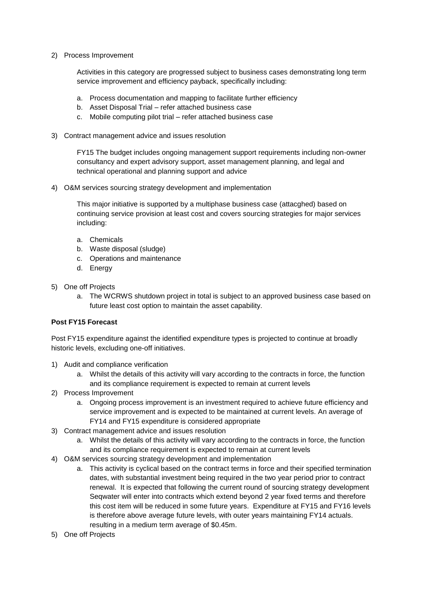2) Process Improvement

Activities in this category are progressed subject to business cases demonstrating long term service improvement and efficiency payback, specifically including:

- a. Process documentation and mapping to facilitate further efficiency
- b. Asset Disposal Trial refer attached business case
- c. Mobile computing pilot trial refer attached business case
- 3) Contract management advice and issues resolution

FY15 The budget includes ongoing management support requirements including non-owner consultancy and expert advisory support, asset management planning, and legal and technical operational and planning support and advice

4) O&M services sourcing strategy development and implementation

This major initiative is supported by a multiphase business case (attacghed) based on continuing service provision at least cost and covers sourcing strategies for major services including:

- a. Chemicals
- b. Waste disposal (sludge)
- c. Operations and maintenance
- d. Energy
- 5) One off Projects
	- a. The WCRWS shutdown project in total is subject to an approved business case based on future least cost option to maintain the asset capability.

#### **Post FY15 Forecast**

Post FY15 expenditure against the identified expenditure types is projected to continue at broadly historic levels, excluding one-off initiatives.

- 1) Audit and compliance verification
	- a. Whilst the details of this activity will vary according to the contracts in force, the function and its compliance requirement is expected to remain at current levels
- 2) Process Improvement
	- a. Ongoing process improvement is an investment required to achieve future efficiency and service improvement and is expected to be maintained at current levels. An average of FY14 and FY15 expenditure is considered appropriate
- 3) Contract management advice and issues resolution
	- a. Whilst the details of this activity will vary according to the contracts in force, the function and its compliance requirement is expected to remain at current levels
- 4) O&M services sourcing strategy development and implementation
	- a. This activity is cyclical based on the contract terms in force and their specified termination dates, with substantial investment being required in the two year period prior to contract renewal. It is expected that following the current round of sourcing strategy development Seqwater will enter into contracts which extend beyond 2 year fixed terms and therefore this cost item will be reduced in some future years. Expenditure at FY15 and FY16 levels is therefore above average future levels, with outer years maintaining FY14 actuals. resulting in a medium term average of \$0.45m.
- 5) One off Projects